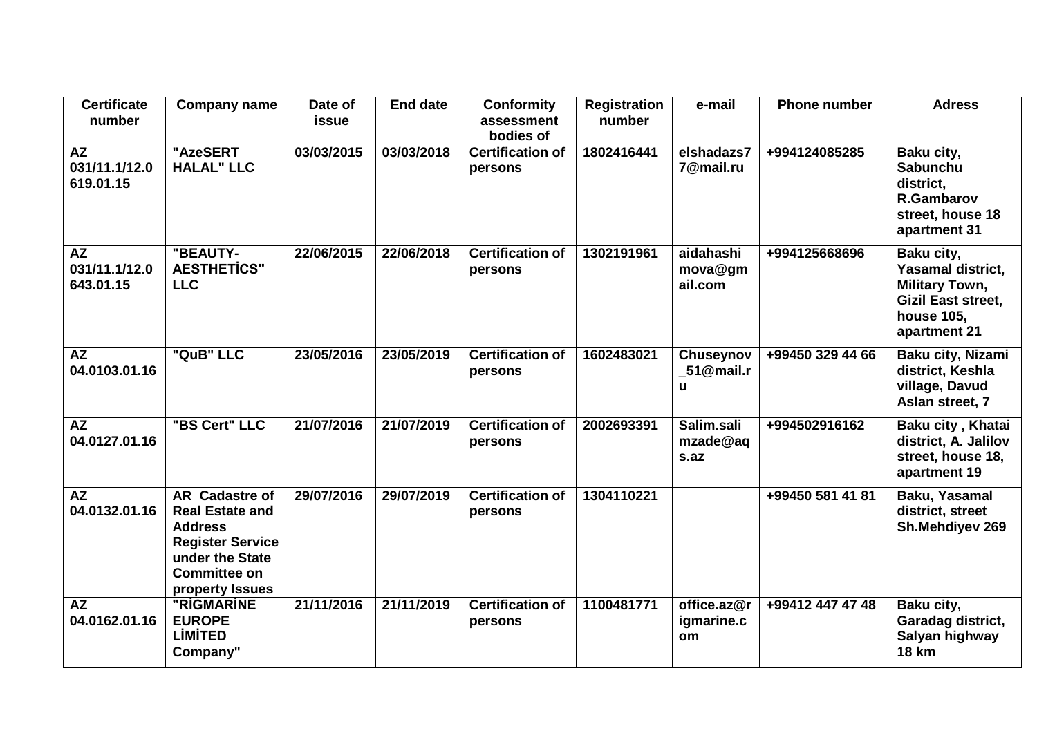| <b>Certificate</b><br>number            | <b>Company name</b>                                                                                                                                       | Date of<br><b>issue</b> | <b>End date</b> | <b>Conformity</b><br>assessment<br>bodies of | <b>Registration</b><br>number | e-mail                          | <b>Phone number</b> | <b>Adress</b>                                                                                                       |
|-----------------------------------------|-----------------------------------------------------------------------------------------------------------------------------------------------------------|-------------------------|-----------------|----------------------------------------------|-------------------------------|---------------------------------|---------------------|---------------------------------------------------------------------------------------------------------------------|
| AZ<br>031/11.1/12.0<br>619.01.15        | "AzeSERT<br><b>HALAL" LLC</b>                                                                                                                             | 03/03/2015              | 03/03/2018      | <b>Certification of</b><br>persons           | 1802416441                    | elshadazs7<br>7@mail.ru         | +994124085285       | Baku city,<br><b>Sabunchu</b><br>district,<br><b>R.Gambarov</b><br>street, house 18<br>apartment 31                 |
| <b>AZ</b><br>031/11.1/12.0<br>643.01.15 | "BEAUTY-<br><b>AESTHETICS"</b><br><b>LLC</b>                                                                                                              | 22/06/2015              | 22/06/2018      | <b>Certification of</b><br>persons           | 1302191961                    | aidahashi<br>mova@gm<br>ail.com | +994125668696       | Baku city,<br>Yasamal district,<br><b>Military Town,</b><br><b>Gizil East street,</b><br>house 105,<br>apartment 21 |
| <b>AZ</b><br>04.0103.01.16              | "QuB" LLC                                                                                                                                                 | 23/05/2016              | 23/05/2019      | <b>Certification of</b><br>persons           | 1602483021                    | Chuseynov<br>51@mail.r<br>u.    | +99450 329 44 66    | Baku city, Nizami<br>district, Keshla<br>village, Davud<br>Aslan street, 7                                          |
| <b>AZ</b><br>04.0127.01.16              | "BS Cert" LLC                                                                                                                                             | 21/07/2016              | 21/07/2019      | <b>Certification of</b><br>persons           | 2002693391                    | Salim.sali<br>mzade@aq<br>s.az  | +994502916162       | Baku city, Khatai<br>district, A. Jalilov<br>street, house 18,<br>apartment 19                                      |
| <b>AZ</b><br>04.0132.01.16              | <b>AR</b> Cadastre of<br><b>Real Estate and</b><br><b>Address</b><br><b>Register Service</b><br>under the State<br><b>Committee on</b><br>property Issues | 29/07/2016              | 29/07/2019      | <b>Certification of</b><br>persons           | 1304110221                    |                                 | +99450 581 41 81    | Baku, Yasamal<br>district, street<br>Sh.Mehdiyev 269                                                                |
| <b>AZ</b><br>04.0162.01.16              | "RIGMARINE<br><b>EUROPE</b><br><b>LIMITED</b><br>Company"                                                                                                 | 21/11/2016              | 21/11/2019      | <b>Certification of</b><br>persons           | 1100481771                    | office.az@r<br>igmarine.c<br>om | +99412 447 47 48    | Baku city,<br>Garadag district,<br>Salyan highway<br><b>18 km</b>                                                   |